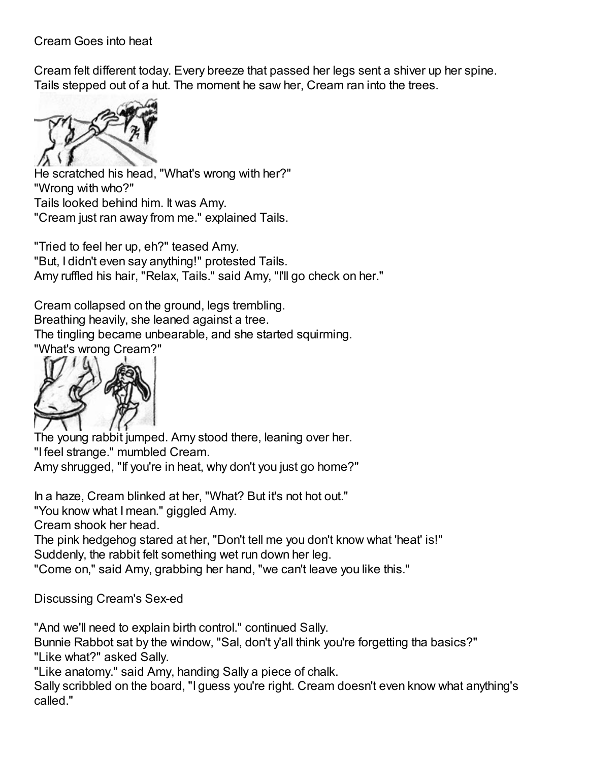Cream Goes into heat

Cream felt different today. Every breeze that passed her legs sent a shiver up her spine. Tails stepped out of a hut. The moment he saw her, Cream ran into the trees.



He scratched his head, "What's wrong with her?" "Wrong with who?" Tails looked behind him. It was Amy. "Cream just ran away from me." explained Tails.

"Tried to feel her up, eh?" teased Amy. "But, I didn't even say anything!" protested Tails. Amy ruffled his hair, "Relax, Tails." said Amy, "I'll go check on her."

Cream collapsed on the ground, legs trembling. Breathing heavily, she leaned against a tree. The tingling became unbearable, and she started squirming. "What's wrong Cream?"



The young rabbit jumped. Amy stood there, leaning over her. "I feel strange." mumbled Cream.

Amy shrugged, "If you're in heat, why don't you just go home?"

In a haze, Cream blinked at her, "What? But it's not hot out." "You know what I mean." giggled Amy.

Cream shook her head.

The pink hedgehog stared at her, "Don't tell me you don't know what 'heat' is!" Suddenly, the rabbit felt something wet run down her leg.

"Come on," said Amy, grabbing her hand, "we can't leave you like this."

Discussing Cream's Sex-ed

"And we'll need to explain birth control." continued Sally.

Bunnie Rabbot sat by the window, "Sal, don't y'all think you're forgetting tha basics?" "Like what?" asked Sally.

"Like anatomy." said Amy, handing Sally a piece of chalk.

Sally scribbled on the board, "I guess you're right. Cream doesn't even know what anything's called."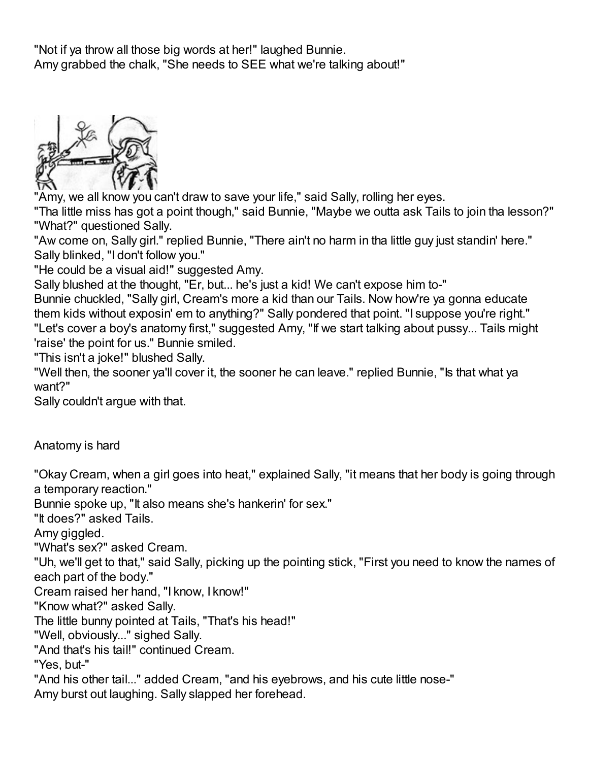"Not if ya throw all those big words at her!" laughed Bunnie. Amy grabbed the chalk, "She needs to SEE what we're talking about!"



"Amy, we all know you can't draw to save your life," said Sally, rolling her eyes.

"Tha little miss has got a point though," said Bunnie, "Maybe we outta ask Tails to join tha lesson?" "What?" questioned Sally.

"Aw come on, Sally girl." replied Bunnie, "There ain't no harm in tha little guy just standin' here." Sally blinked, "I don't follow you."

"He could be a visual aid!" suggested Amy.

Sally blushed at the thought, "Er, but... he's just a kid! We can't expose him to-"

Bunnie chuckled, "Sally girl, Cream's more a kid than our Tails. Now how're ya gonna educate them kids without exposin' em to anything?" Sally pondered that point. "I suppose you're right." "Let's cover a boy's anatomy first," suggested Amy, "If we start talking about pussy... Tails might 'raise' the point for us." Bunnie smiled.

"This isn't a joke!" blushed Sally.

"Well then, the sooner ya'll cover it, the sooner he can leave." replied Bunnie, "Is that what ya want?"

Sally couldn't argue with that.

## Anatomy is hard

"Okay Cream, when a girl goes into heat," explained Sally, "it means that her body is going through a temporary reaction."

Bunnie spoke up, "It also means she's hankerin' for sex."

"It does?" asked Tails.

Amy giggled.

"What's sex?" asked Cream.

"Uh, we'll get to that," said Sally, picking up the pointing stick, "First you need to know the names of each part of the body."

Cream raised her hand, "I know, I know!"

"Know what?" asked Sally.

The little bunny pointed at Tails, "That's his head!"

"Well, obviously..." sighed Sally.

"And that's his tail!" continued Cream.

"Yes, but-"

"And his other tail..." added Cream, "and his eyebrows, and his cute little nose-" Amy burst out laughing. Sally slapped her forehead.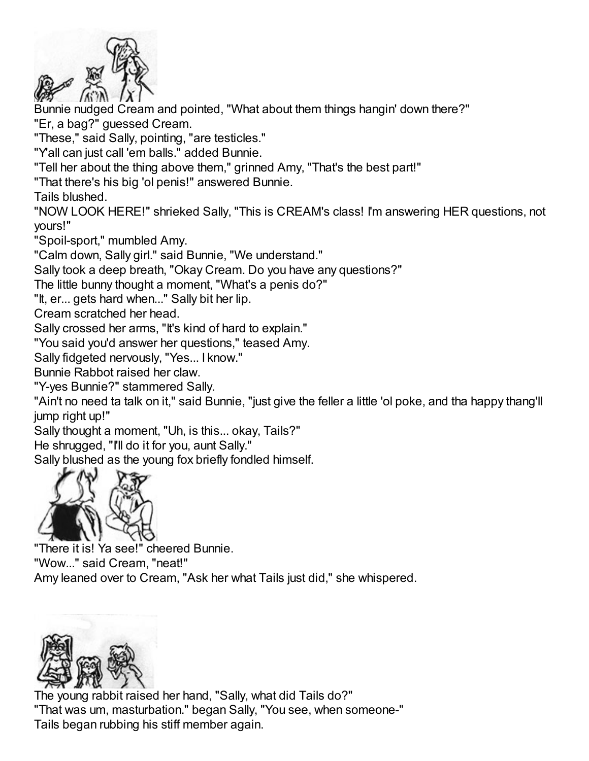

Bunnie nudged Cream and pointed, "What about them things hangin' down there?" "Er, a bag?" guessed Cream.

"These," said Sally, pointing, "are testicles."

"Y'all can just call 'em balls." added Bunnie.

"Tell her about the thing above them," grinned Amy, "That's the best part!"

"That there's his big 'ol penis!" answered Bunnie.

Tails blushed.

"NOW LOOK HERE!" shrieked Sally, "This is CREAM's class! I'm answering HER questions, not yours!"

"Spoil-sport," mumbled Amy.

"Calm down, Sally girl." said Bunnie, "We understand."

Sally took a deep breath, "Okay Cream. Do you have any questions?"

The little bunny thought a moment, "What's a penis do?"

"It, er... gets hard when..." Sally bit her lip.

Cream scratched her head.

Sally crossed her arms, "It's kind of hard to explain."

"You said you'd answer her questions," teased Amy.

Sally fidgeted nervously, "Yes... I know."

Bunnie Rabbot raised her claw.

"Y-yes Bunnie?" stammered Sally.

"Ain't no need ta talk on it," said Bunnie, "just give the feller a little 'ol poke, and tha happy thang'll jump right up!"

Sally thought a moment, "Uh, is this... okay, Tails?"

He shrugged, "I'll do it for you, aunt Sally."

Sally blushed as the young fox briefly fondled himself.



"There it is! Ya see!" cheered Bunnie.

"Wow..." said Cream, "neat!"

Amy leaned over to Cream, "Ask her what Tails just did," she whispered.



The young rabbit raised her hand, "Sally, what did Tails do?" "That was um, masturbation." began Sally, "You see, when someone-" Tails began rubbing his stiff member again.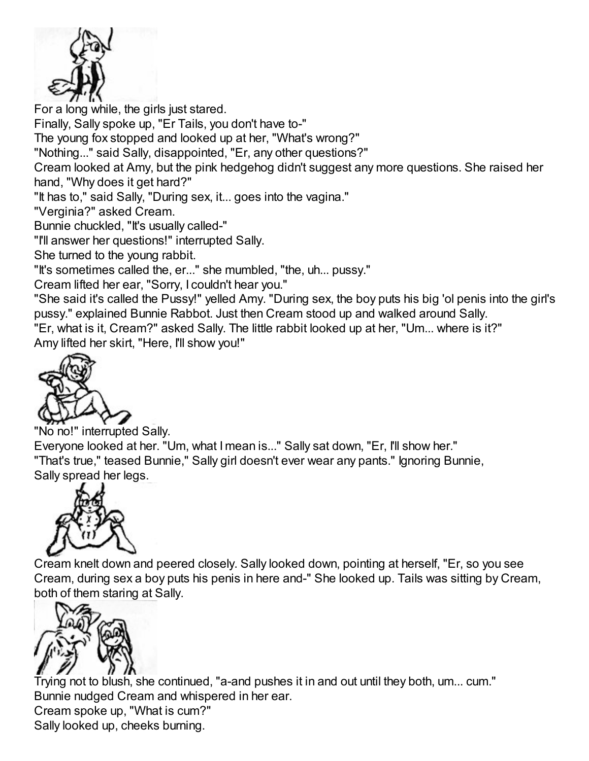

For a long while, the girls just stared. Finally, Sally spoke up, "Er Tails, you don't have to-" The young fox stopped and looked up at her, "What's wrong?" "Nothing..." said Sally, disappointed, "Er, any other questions?" Cream looked at Amy, but the pink hedgehog didn't suggest any more questions. She raised her hand, "Why does it get hard?" "It has to," said Sally, "During sex, it... goes into the vagina." "Verginia?" asked Cream. Bunnie chuckled, "It's usually called-" "I'll answer her questions!" interrupted Sally. She turned to the young rabbit. "It's sometimes called the, er..." she mumbled, "the, uh... pussy." Cream lifted her ear, "Sorry, I couldn't hear you." "She said it's called the Pussy!" yelled Amy. "During sex, the boy puts his big 'ol penis into the girl's pussy." explained Bunnie Rabbot. Just then Cream stood up and walked around Sally. "Er, what is it, Cream?" asked Sally. The little rabbit looked up at her, "Um... where is it?"

Amy lifted her skirt, "Here, I'll show you!"



"No no!" interrupted Sally. Everyone looked at her. "Um, what I mean is..." Sally sat down, "Er, I'll show her." "That's true," teased Bunnie," Sally girl doesn't ever wear any pants." Ignoring Bunnie, Sally spread her legs.



Cream knelt down and peered closely. Sally looked down, pointing at herself, "Er, so you see Cream, during sex a boy puts his penis in here and-" She looked up. Tails was sitting by Cream, both of them staring at Sally.



Trying not to blush, she continued, "a-and pushes it in and out until they both, um... cum." Bunnie nudged Cream and whispered in her ear.

Cream spoke up, "What is cum?"

Sally looked up, cheeks burning.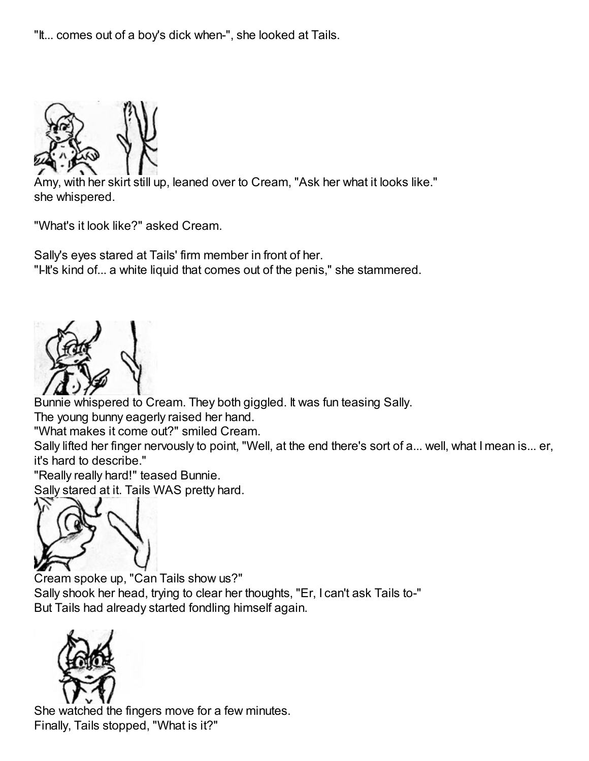"It... comes out of a boy's dick when-", she looked at Tails.



Amy, with her skirt still up, leaned over to Cream, "Ask her what it looks like." she whispered.

"What's it look like?" asked Cream.

Sally's eyes stared at Tails' firm member in front of her. "I-It's kind of... a white liquid that comes out of the penis," she stammered.



Bunnie whispered to Cream. They both giggled. It was fun teasing Sally.

The young bunny eagerly raised her hand.

"What makes it come out?" smiled Cream.

Sally lifted her finger nervously to point, "Well, at the end there's sort of a... well, what I mean is... er, it's hard to describe."

"Really really hard!" teased Bunnie. Sally stared at it. Tails WAS pretty hard.



Cream spoke up, "Can Tails show us?" Sally shook her head, trying to clear her thoughts, "Er, I can't ask Tails to-" But Tails had already started fondling himself again.



She watched the fingers move for a few minutes. Finally, Tails stopped, "What is it?"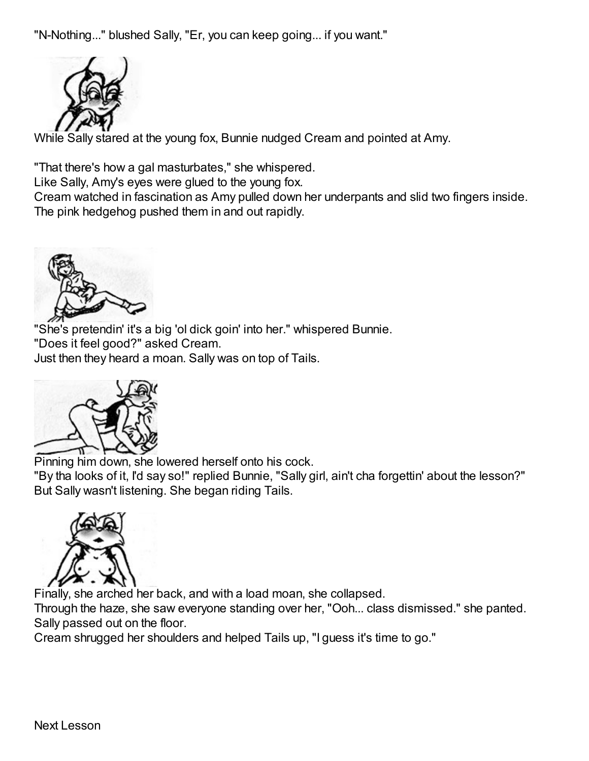"N-Nothing..." blushed Sally, "Er, you can keep going... if you want."



While Sally stared at the young fox, Bunnie nudged Cream and pointed at Amy.

"That there's how a gal masturbates," she whispered.

Like Sally, Amy's eyes were glued to the young fox.

Cream watched in fascination as Amy pulled down her underpants and slid two fingers inside. The pink hedgehog pushed them in and out rapidly.



"She's pretendin' it's a big 'ol dick goin' into her." whispered Bunnie. "Does it feel good?" asked Cream. Just then they heard a moan. Sally was on top of Tails.



Pinning him down, she lowered herself onto his cock.

"By tha looks of it, I'd say so!" replied Bunnie, "Sally girl, ain't cha forgettin' about the lesson?" But Sally wasn't listening. She began riding Tails.



Finally, she arched her back, and with a load moan, she collapsed.

Through the haze, she saw everyone standing over her, "Ooh... class dismissed." she panted. Sally passed out on the floor.

Cream shrugged her shoulders and helped Tails up, "I guess it's time to go."